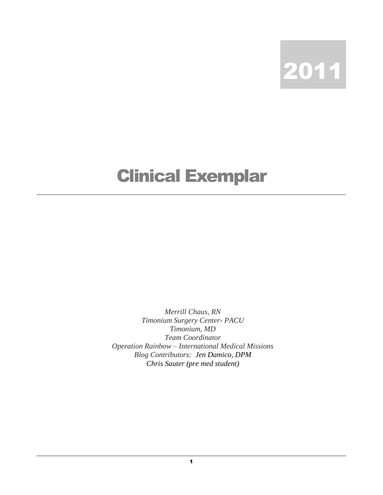2011

## Clinical Exemplar

*Merrill Chaus, RN Timonium Surgery Center- PACU Timonium, MD Team Coordinator Operation Rainbow – International Medical Missions Blog Contributors: Jen Damico, DPM Chris Sauter (pre med student)*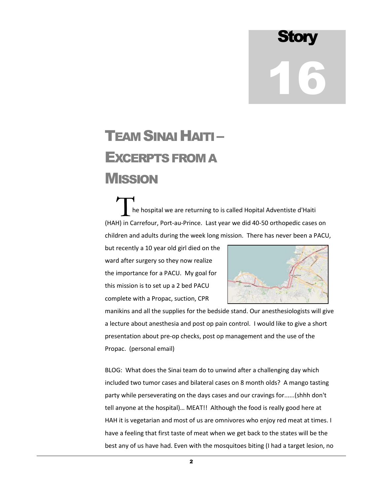**Story** 16

## TEAM SINAI HAITI– EXCERPTS FROM A **MISSION**

 he hospital we are returning to is called Hopital Adventiste d'Haiti T<br>
The hospital we are returning to is called Hopital Adventiste d'Haiti<br>
(HAH) in Carrefour, Port-au-Prince. Last year we did 40-50 orthopedic cases on children and adults during the week long mission. There has never been a PACU,

but recently a 10 year old girl died on the ward after surgery so they now realize the importance for a PACU. My goal for this mission is to set up a 2 bed PACU complete with a Propac, suction, CPR



manikins and all the supplies for the bedside stand. Our anesthesiologists will give a lecture about anesthesia and post op pain control. I would like to give a short presentation about pre-op checks, post op management and the use of the Propac. (personal email)

BLOG: What does the Sinai team do to unwind after a challenging day which included two tumor cases and bilateral cases on 8 month olds? A mango tasting party while perseverating on the days cases and our cravings for......(shhh don't tell anyone at the hospital)… MEAT!! Although the food is really good here at HAH it is vegetarian and most of us are omnivores who enjoy red meat at times. I have a feeling that first taste of meat when we get back to the states will be the best any of us have had. Even with the mosquitoes biting (I had a target lesion, no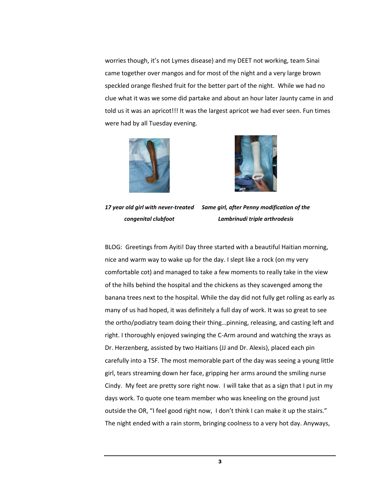worries though, it's not Lymes disease) and my DEET not working, team Sinai came together over mangos and for most of the night and a very large brown speckled orange fleshed fruit for the better part of the night. While we had no clue what it was we some did partake and about an hour later Jaunty came in and told us it was an apricot!!! It was the largest apricot we had ever seen. Fun times were had by all Tuesday evening.





*17 year old girl with never-treated Same girl, after Penny modification of the congenital clubfoot Lambrinudi triple arthrodesis*

BLOG: Greetings from Ayiti! Day three started with a beautiful Haitian morning, nice and warm way to wake up for the day. I slept like a rock (on my very comfortable cot) and managed to take a few moments to really take in the view of the hills behind the hospital and the chickens as they scavenged among the banana trees next to the hospital. While the day did not fully get rolling as early as many of us had hoped, it was definitely a full day of work. It was so great to see the ortho/podiatry team doing their thing…pinning, releasing, and casting left and right. I thoroughly enjoyed swinging the C-Arm around and watching the xrays as Dr. Herzenberg, assisted by two Haitians (JJ and Dr. Alexis), placed each pin carefully into a TSF. The most memorable part of the day was seeing a young little girl, tears streaming down her face, gripping her arms around the smiling nurse Cindy. My feet are pretty sore right now. I will take that as a sign that I put in my days work. To quote one team member who was kneeling on the ground just outside the OR, "I feel good right now, I don't think I can make it up the stairs." The night ended with a rain storm, bringing coolness to a very hot day. Anyways,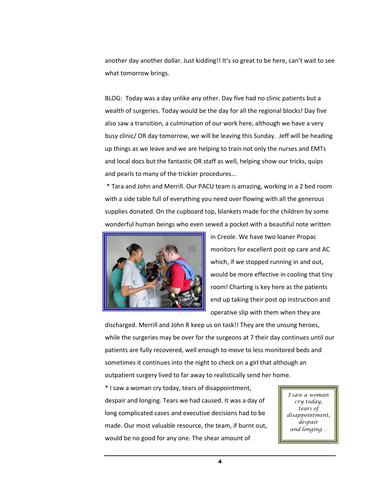another day another dollar. Just kidding!! It's so great to be here, can't wait to see what tomorrow brings.

BLOG: Today was a day unlike any other. Day five had no clinic patients but a wealth of surgeries. Today would be the day for all the regional blocks! Day five also saw a transition, a culmination of our work here, although we have a very busy clinic/ OR day tomorrow, we will be leaving this Sunday. Jeff will be heading up things as we leave and we are helping to train not only the nurses and EMTs and local docs but the fantastic OR staff as well, helping show our tricks, quips and pearls to many of the trickier procedures...

\* Tara and John and Merrill. Our PACU team is amazing, working in a 2 bed room with a side table full of everything you need over flowing with all the generous supplies donated. On the cupboard top, blankets made for the children by some wonderful human beings who even sewed a pocket with a beautiful note written



in Creole. We have two loaner Propac monitors for excellent post op care and AC which, if we stopped running in and out, would be more effective in cooling that tiny room! Charting is key here as the patients end up taking their post op instruction and operative slip with them when they are

discharged. Merrill and John R keep us on task!! They are the unsung heroes, while the surgeries may be over for the surgeons at 7 their day continues until our patients are fully recovered, well enough to move to less monitored beds and sometimes it continues into the night to check on a girl that although an outpatient surgery lived to far away to realistically send her home.

\* I saw a woman cry today, tears of disappointment, despair and longing. Tears we had caused. It was a day of long complicated cases and executive decisions had to be made. Our most valuable resource, the team, if burnt out, would be no good for any one. The shear amount of

*I saw a woman cry today, tears of disappointment, despair and longing…*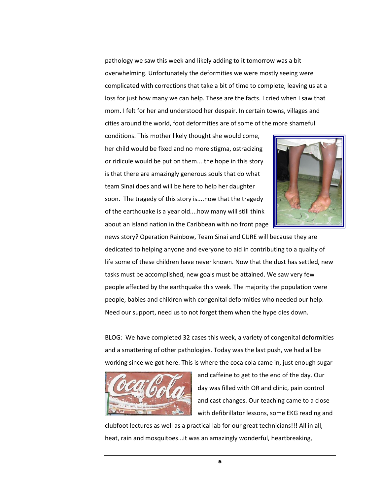pathology we saw this week and likely adding to it tomorrow was a bit overwhelming. Unfortunately the deformities we were mostly seeing were complicated with corrections that take a bit of time to complete, leaving us at a loss for just how many we can help. These are the facts. I cried when I saw that mom. I felt for her and understood her despair. In certain towns, villages and cities around the world, foot deformities are of some of the more shameful

conditions. This mother likely thought she would come, her child would be fixed and no more stigma, ostracizing or ridicule would be put on them....the hope in this story is that there are amazingly generous souls that do what team Sinai does and will be here to help her daughter soon. The tragedy of this story is....now that the tragedy of the earthquake is a year old....how many will still think about an island nation in the Caribbean with no front page



news story? Operation Rainbow, Team Sinai and CURE will because they are dedicated to helping anyone and everyone to aid in contributing to a quality of life some of these children have never known. Now that the dust has settled, new tasks must be accomplished, new goals must be attained. We saw very few people affected by the earthquake this week. The majority the population were people, babies and children with congenital deformities who needed our help. Need our support, need us to not forget them when the hype dies down.

BLOG: We have completed 32 cases this week, a variety of congenital deformities and a smattering of other pathologies. Today was the last push, we had all be working since we got here. This is where the coca cola came in, just enough sugar



and caffeine to get to the end of the day. Our day was filled with OR and clinic, pain control and cast changes. Our teaching came to a close with defibrillator lessons, some EKG reading and

clubfoot lectures as well as a practical lab for our great technicians!!! All in all, heat, rain and mosquitoes...it was an amazingly wonderful, heartbreaking,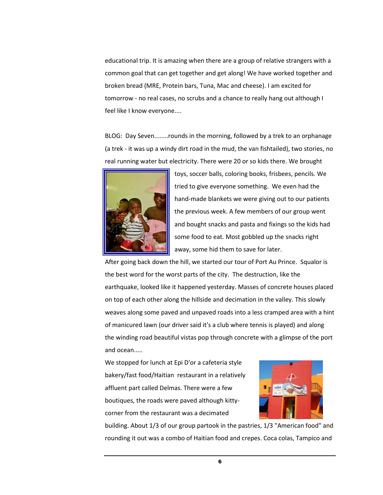educational trip. It is amazing when there are a group of relative strangers with a common goal that can get together and get along! We have worked together and broken bread (MRE, Protein bars, Tuna, Mac and cheese). I am excited for tomorrow - no real cases, no scrubs and a chance to really hang out although I feel like I know everyone....

BLOG: Day Seven........rounds in the morning, followed by a trek to an orphanage (a trek - it was up a windy dirt road in the mud, the van fishtailed), two stories, no real running water but electricity. There were 20 or so kids there. We brought



toys, soccer balls, coloring books, frisbees, pencils. We tried to give everyone something. We even had the hand-made blankets we were giving out to our patients the previous week. A few members of our group went and bought snacks and pasta and fixings so the kids had some food to eat. Most gobbled up the snacks right away, some hid them to save for later.

After going back down the hill, we started our tour of Port Au Prince. Squalor is the best word for the worst parts of the city. The destruction, like the earthquake, looked like it happened yesterday. Masses of concrete houses placed on top of each other along the hillside and decimation in the valley. This slowly weaves along some paved and unpaved roads into a less cramped area with a hint of manicured lawn (our driver said it's a club where tennis is played) and along the winding road beautiful vistas pop through concrete with a glimpse of the port and ocean.....

We stopped for lunch at Epi D'or a cafeteria style bakery/fast food/Haitian restaurant in a relatively affluent part called Delmas. There were a few boutiques, the roads were paved although kittycorner from the restaurant was a decimated



building. About 1/3 of our group partook in the pastries, 1/3 "American food" and rounding it out was a combo of Haitian food and crepes. Coca colas, Tampico and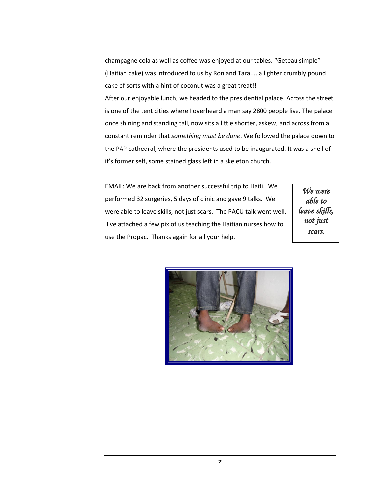champagne cola as well as coffee was enjoyed at our tables. "Geteau simple" (Haitian cake) was introduced to us by Ron and Tara.....a lighter crumbly pound cake of sorts with a hint of coconut was a great treat!!

After our enjoyable lunch, we headed to the presidential palace. Across the street is one of the tent cities where I overheard a man say 2800 people live. The palace once shining and standing tall, now sits a little shorter, askew, and across from a constant reminder that *something must be done*. We followed the palace down to the PAP cathedral, where the presidents used to be inaugurated. It was a shell of it's former self, some stained glass left in a skeleton church.

EMAIL: We are back from another successful trip to Haiti. We performed 32 surgeries, 5 days of clinic and gave 9 talks. We were able to leave skills, not just scars. The PACU talk went well. I've attached a few pix of us teaching the Haitian nurses how to use the Propac. Thanks again for all your help.

*We were able to leave skills, not just scars.*